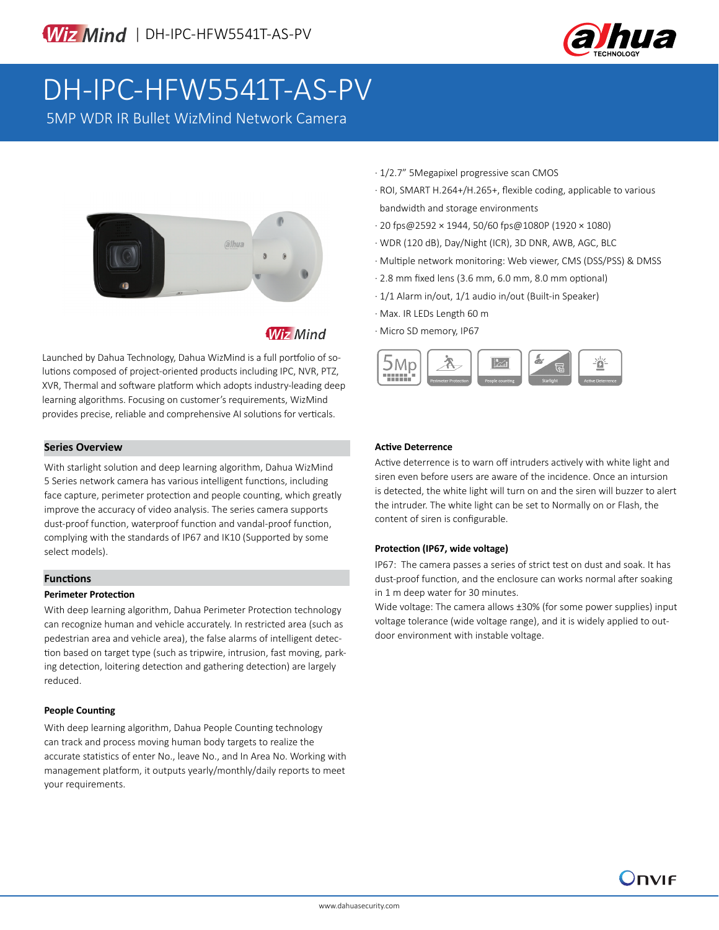

# DH-IPC-HFW5541T-AS-PV

5MP WDR IR Bullet WizMind Network Camera



### **Wiz Mind**

Launched by Dahua Technology, Dahua WizMind is a full portfolio of solutions composed of project-oriented products including IPC, NVR, PTZ, XVR, Thermal and software platform which adopts industry-leading deep learning algorithms. Focusing on customer's requirements, WizMind provides precise, reliable and comprehensive AI solutions for verticals.

### **Series Overview**

With starlight solution and deep learning algorithm, Dahua WizMind 5 Series network camera has various intelligent functions, including face capture, perimeter protection and people counting, which greatly improve the accuracy of video analysis. The series camera supports dust-proof function, waterproof function and vandal-proof function, complying with the standards of IP67 and IK10 (Supported by some select models).

### **Functions**

### **Perimeter Protection**

With deep learning algorithm, Dahua Perimeter Protection technology can recognize human and vehicle accurately. In restricted area (such as pedestrian area and vehicle area), the false alarms of intelligent detection based on target type (such as tripwire, intrusion, fast moving, parking detection, loitering detection and gathering detection) are largely reduced.

### **People Counting**

With deep learning algorithm, Dahua People Counting technology can track and process moving human body targets to realize the accurate statistics of enter No., leave No., and In Area No. Working with management platform, it outputs yearly/monthly/daily reports to meet your requirements.

- · 1/2.7" 5Megapixel progressive scan CMOS
- · ROI, SMART H.264+/H.265+, flexible coding, applicable to various bandwidth and storage environments
- · 20 fps@2592 × 1944, 50/60 fps@1080P (1920 × 1080)
- · WDR (120 dB), Day/Night (ICR), 3D DNR, AWB, AGC, BLC
- · Multiple network monitoring: Web viewer, CMS (DSS/PSS) & DMSS
- · 2.8 mm fixed lens (3.6 mm, 6.0 mm, 8.0 mm optional)
- · 1/1 Alarm in/out, 1/1 audio in/out (Built-in Speaker)
- · Max. IR LEDs Length 60 m
- · Micro SD memory, IP67



### **Active Deterrence**

Active deterrence is to warn off intruders actively with white light and siren even before users are aware of the incidence. Once an intursion is detected, the white light will turn on and the siren will buzzer to alert the intruder. The white light can be set to Normally on or Flash, the content of siren is configurable.

### **Protection (IP67, wide voltage)**

IP67: The camera passes a series of strict test on dust and soak. It has dust-proof function, and the enclosure can works normal after soaking in 1 m deep water for 30 minutes.

Wide voltage: The camera allows ±30% (for some power supplies) input voltage tolerance (wide voltage range), and it is widely applied to outdoor environment with instable voltage.

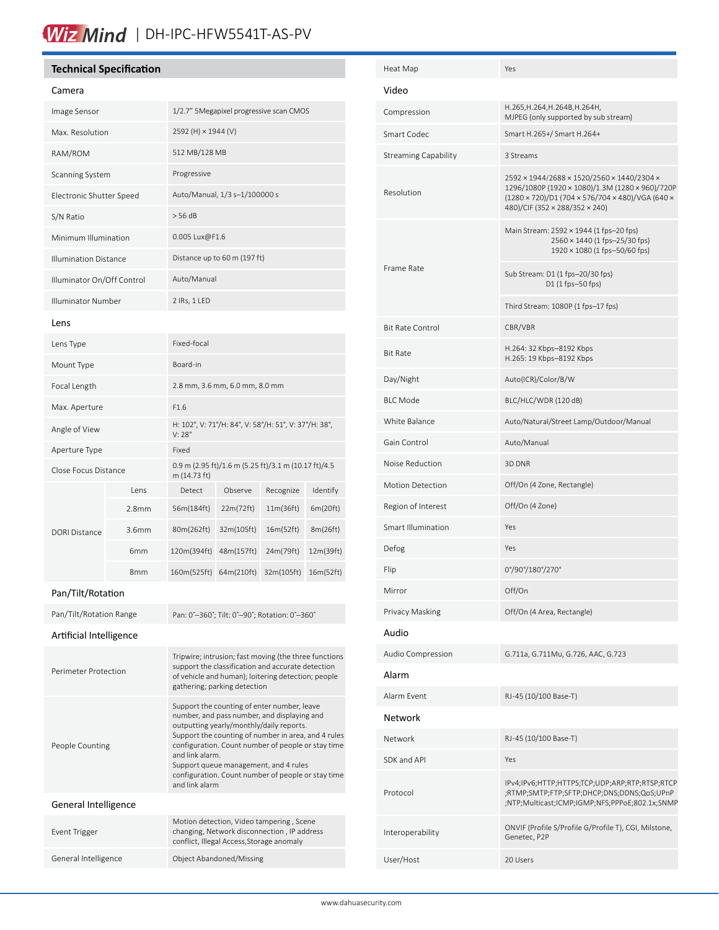## Wiz Mind | DH-IPC-HFW5541T-AS-PV

### **Technical Specification**

### Camera

| camera                       |                   |                                                                      |            |            |           |
|------------------------------|-------------------|----------------------------------------------------------------------|------------|------------|-----------|
| Image Sensor                 |                   | 1/2.7" 5Megapixel progressive scan CMOS                              |            |            |           |
| Max. Resolution              |                   | 2592 (H) × 1944 (V)                                                  |            |            |           |
| RAM/ROM                      |                   | 512 MB/128 MB                                                        |            |            |           |
| Scanning System              |                   | Progressive                                                          |            |            |           |
| Electronic Shutter Speed     |                   | Auto/Manual, 1/3 s-1/100000 s                                        |            |            |           |
| S/N Ratio                    |                   | > 56 dB                                                              |            |            |           |
| Minimum Illumination         |                   | 0.005 Lux@F1.6                                                       |            |            |           |
| <b>Illumination Distance</b> |                   | Distance up to 60 m (197 ft)                                         |            |            |           |
| Illuminator On/Off Control   |                   | Auto/Manual                                                          |            |            |           |
| Illuminator Number           |                   | 2 IRs, 1 LED                                                         |            |            |           |
| Lens                         |                   |                                                                      |            |            |           |
| Lens Type                    |                   | Fixed-focal                                                          |            |            |           |
| Mount Type                   |                   | Board-in                                                             |            |            |           |
| Focal Length                 |                   | 2.8 mm, 3.6 mm, 6.0 mm, 8.0 mm                                       |            |            |           |
| Max. Aperture                |                   | F1.6                                                                 |            |            |           |
| Angle of View                |                   | H: 102°, V: 71°/H: 84°, V: 58°/H: 51°, V: 37°/H: 38°,<br>V:28°       |            |            |           |
| Aperture Type                |                   | Fixed                                                                |            |            |           |
| Close Focus Distance         |                   | 0.9 m (2.95 ft)/1.6 m (5.25 ft)/3.1 m (10.17 ft)/4.5<br>m (14.73 ft) |            |            |           |
| <b>DORI Distance</b>         | Lens              | Detect                                                               | Observe    | Recognize  | Identify  |
|                              | 2.8 <sub>mm</sub> | 56m(184ft)                                                           | 22m(72ft)  | 11m(36ft)  | 6m(20ft)  |
|                              | 3.6 <sub>mm</sub> | 80m(262ft)                                                           | 32m(105ft) | 16m(52ft)  | 8m(26ft)  |
|                              | 6mm               | 120m(394ft)                                                          | 48m(157ft) | 24m(79ft)  | 12m(39ft) |
|                              | 8mm               | 160m(525ft)                                                          | 64m(210ft) | 32m(105ft) | 16m(52ft) |
| Pan/Tilt/Rotation            |                   |                                                                      |            |            |           |
| Pan/Tilt/Rotation Range      |                   | Pan: 0°-360°; Tilt: 0°-90°; Rotation: 0°-360°                        |            |            |           |

Artificial Intelligence Perimeter Protection Tripwire; intrusion; fast moving (the three functions support the classification and accurate detection of vehicle and human); loitering detection; people gathering; parking detection People Counting Support the counting of enter number, leave number, and pass number, and displaying and outputting yearly/monthly/daily reports. Support the counting of number in area, and 4 rules configuration. Count number of people or stay time and link alarm. Support queue management, and 4 rules configuration. Count number of people or stay time and link alarm General Intelligence Event Trigger Motion detection, Video tampering , Scene changing, Network disconnection , IP address conflict, Illegal Access,Storage anomaly General Intelligence **Object Abandoned/Missing** 

| Heat Map                    | Yes                                                                                                                                                                                        |  |  |
|-----------------------------|--------------------------------------------------------------------------------------------------------------------------------------------------------------------------------------------|--|--|
| Video                       |                                                                                                                                                                                            |  |  |
| Compression                 | H.265, H.264, H.264B, H.264H,<br>MJPEG (only supported by sub stream)                                                                                                                      |  |  |
| Smart Codec                 | Smart H.265+/ Smart H.264+                                                                                                                                                                 |  |  |
| <b>Streaming Capability</b> | 3 Streams                                                                                                                                                                                  |  |  |
| Resolution                  | 2592 × 1944/2688 × 1520/2560 × 1440/2304 ×<br>1296/1080P (1920 × 1080)/1.3M (1280 × 960)/720P<br>$(1280 \times 720)/D1$ (704 × 576/704 × 480)/VGA (640 ×<br>480)/CIF (352 × 288/352 × 240) |  |  |
|                             | Main Stream: 2592 × 1944 (1 fps-20 fps)<br>2560 × 1440 (1 fps-25/30 fps)<br>1920 × 1080 (1 fps-50/60 fps)                                                                                  |  |  |
| Frame Rate                  | Sub Stream: D1 (1 fps-20/30 fps)<br>D1 (1 fps-50 fps)                                                                                                                                      |  |  |
|                             | Third Stream: 1080P (1 fps-17 fps)                                                                                                                                                         |  |  |
| <b>Bit Rate Control</b>     | CBR/VBR                                                                                                                                                                                    |  |  |
| <b>Bit Rate</b>             | H.264: 32 Kbps-8192 Kbps<br>H.265: 19 Kbps-8192 Kbps                                                                                                                                       |  |  |
| Day/Night                   | Auto(ICR)/Color/B/W                                                                                                                                                                        |  |  |
| <b>BLC Mode</b>             | BLC/HLC/WDR (120 dB)                                                                                                                                                                       |  |  |
| White Balance               | Auto/Natural/Street Lamp/Outdoor/Manual                                                                                                                                                    |  |  |
| Gain Control                | Auto/Manual                                                                                                                                                                                |  |  |
| Noise Reduction             | 3D DNR                                                                                                                                                                                     |  |  |
| <b>Motion Detection</b>     | Off/On (4 Zone, Rectangle)                                                                                                                                                                 |  |  |
| Region of Interest          | Off/On (4 Zone)                                                                                                                                                                            |  |  |
| Smart Illumination          | Yes                                                                                                                                                                                        |  |  |
| Defog                       | Yes                                                                                                                                                                                        |  |  |
| Flip                        | 0°/90°/180°/270°                                                                                                                                                                           |  |  |
| Mirror                      | Off/On                                                                                                                                                                                     |  |  |
| Privacy Masking             | Off/On (4 Area, Rectangle)                                                                                                                                                                 |  |  |
| Audio                       |                                                                                                                                                                                            |  |  |
| Audio Compression           | G.711a, G.711Mu, G.726, AAC, G.723                                                                                                                                                         |  |  |
| Alarm                       |                                                                                                                                                                                            |  |  |
| Alarm Event                 | RJ-45 (10/100 Base-T)                                                                                                                                                                      |  |  |
| Network                     |                                                                                                                                                                                            |  |  |
| Network                     | RJ-45 (10/100 Base-T)                                                                                                                                                                      |  |  |
| SDK and API                 | Yes                                                                                                                                                                                        |  |  |
| Protocol                    | IPv4;IPv6;HTTP;HTTPS;TCP;UDP;ARP;RTP;RTSP;RTCP<br>;RTMP;SMTP;FTP;SFTP;DHCP;DNS;DDNS;QoS;UPnP<br>;NTP;Multicast;ICMP;IGMP;NFS;PPPoE;802.1x;SNMP                                             |  |  |
| Interoperability            | ONVIF (Profile S/Profile G/Profile T), CGI, Milstone,<br>Genetec, P2P                                                                                                                      |  |  |
| User/Host                   | 20 Users                                                                                                                                                                                   |  |  |
|                             |                                                                                                                                                                                            |  |  |